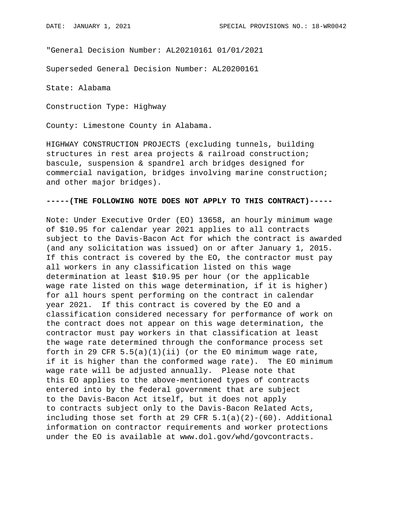"General Decision Number: AL20210161 01/01/2021

Superseded General Decision Number: AL20200161

State: Alabama

Construction Type: Highway

County: Limestone County in Alabama.

HIGHWAY CONSTRUCTION PROJECTS (excluding tunnels, building structures in rest area projects & railroad construction; bascule, suspension & spandrel arch bridges designed for commercial navigation, bridges involving marine construction; and other major bridges).

## **-----(THE FOLLOWING NOTE DOES NOT APPLY TO THIS CONTRACT)-----**

Note: Under Executive Order (EO) 13658, an hourly minimum wage of \$10.95 for calendar year 2021 applies to all contracts subject to the Davis-Bacon Act for which the contract is awarded (and any solicitation was issued) on or after January 1, 2015. If this contract is covered by the EO, the contractor must pay all workers in any classification listed on this wage determination at least \$10.95 per hour (or the applicable wage rate listed on this wage determination, if it is higher) for all hours spent performing on the contract in calendar year 2021. If this contract is covered by the EO and a classification considered necessary for performance of work on the contract does not appear on this wage determination, the contractor must pay workers in that classification at least the wage rate determined through the conformance process set forth in 29 CFR  $5.5(a)(1)(ii)$  (or the EO minimum wage rate, if it is higher than the conformed wage rate). The EO minimum wage rate will be adjusted annually. Please note that this EO applies to the above-mentioned types of contracts entered into by the federal government that are subject to the Davis-Bacon Act itself, but it does not apply to contracts subject only to the Davis-Bacon Related Acts, including those set forth at 29 CFR  $5.1(a)(2)-(60)$ . Additional information on contractor requirements and worker protections under the EO is available at www.dol.gov/whd/govcontracts.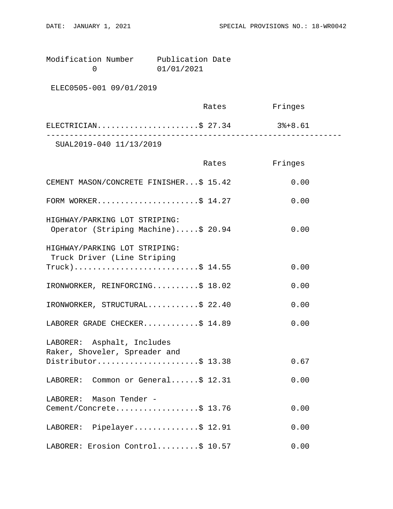Modification Number Publication Date<br>0 01/01/2021 0 01/01/2021

ELEC0505-001 09/01/2019

|                         | Rates | Fringes |  |
|-------------------------|-------|---------|--|
| ELECTRICIAN\$ 27.34     |       | 3%+8.61 |  |
| SUAL2019-040 11/13/2019 |       |         |  |

|                                                                      | Rates | Fringes |
|----------------------------------------------------------------------|-------|---------|
| CEMENT MASON/CONCRETE FINISHER\$ 15.42                               |       | 0.00    |
| FORM WORKER\$ $14.27$                                                |       | 0.00    |
| HIGHWAY/PARKING LOT STRIPING:<br>Operator (Striping Machine)\$ 20.94 |       | 0.00    |
| HIGHWAY/PARKING LOT STRIPING:<br>Truck Driver (Line Striping         |       |         |
| $True k)$ \$ 14.55                                                   |       | 0.00    |
| IRONWORKER, REINFORCING\$ 18.02                                      |       | 0.00    |
| IRONWORKER, STRUCTURAL\$ 22.40                                       |       | 0.00    |
| LABORER GRADE CHECKER\$ 14.89                                        |       | 0.00    |
| LABORER: Asphalt, Includes<br>Raker, Shoveler, Spreader and          |       |         |
| Distributor\$ 13.38                                                  |       | 0.67    |
| LABORER: Common or General\$ 12.31                                   |       | 0.00    |
| LABORER: Mason Tender -                                              |       |         |
| Cement/Concrete\$ 13.76                                              |       | 0.00    |
| LABORER: Pipelayer\$ 12.91                                           |       | 0.00    |
| LABORER: Erosion Control\$ 10.57                                     |       | 0.00    |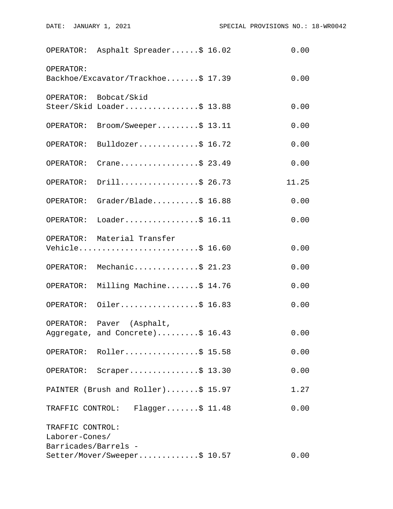|                                    | OPERATOR: Asphalt Spreader\$ 16.02                            | 0.00  |
|------------------------------------|---------------------------------------------------------------|-------|
| OPERATOR:                          | Backhoe/Excavator/Trackhoe\$ 17.39                            | 0.00  |
|                                    | OPERATOR: Bobcat/Skid<br>Steer/Skid Loader\$ 13.88            | 0.00  |
| OPERATOR:                          | $\texttt{Brown}/\texttt{Sweeper} \dots \dots \dots \$ 13.11   | 0.00  |
| OPERATOR:                          | Bulldozer\$ 16.72                                             | 0.00  |
| OPERATOR:                          | Crane\$ 23.49                                                 | 0.00  |
| OPERATOR:                          | Drill\$ 26.73                                                 | 11.25 |
| OPERATOR:                          | Grader/Blade\$ 16.88                                          | 0.00  |
|                                    | OPERATOR: Loader\$ 16.11                                      | 0.00  |
|                                    | OPERATOR: Material Transfer<br>Vehicle\$ 16.60                | 0.00  |
|                                    | OPERATOR: Mechanic\$ 21.23                                    | 0.00  |
| OPERATOR:                          | Milling Machine\$ 14.76                                       | 0.00  |
|                                    | OPERATOR: Oiler\$ 16.83                                       | 0.00  |
|                                    | OPERATOR: Paver (Asphalt,<br>Aggregate, and Concrete)\$ 16.43 | 0.00  |
|                                    | OPERATOR: Roller\$ 15.58                                      | 0.00  |
|                                    | OPERATOR: Scraper\$ 13.30                                     | 0.00  |
|                                    | PAINTER (Brush and Roller)\$ 15.97                            | 1.27  |
|                                    | TRAFFIC CONTROL: Flagger\$ 11.48                              | 0.00  |
| TRAFFIC CONTROL:<br>Laborer-Cones/ |                                                               |       |
| Barricades/Barrels -               | Setter/Mover/Sweeper\$ 10.57                                  | 0.00  |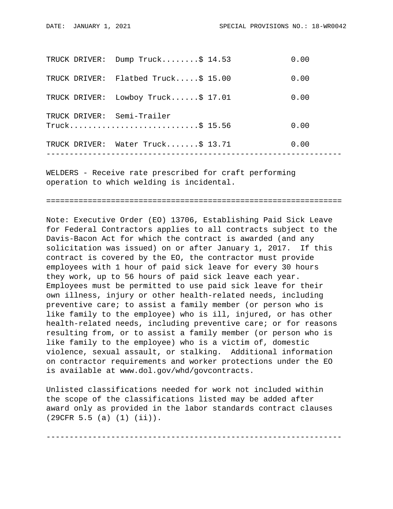| TRUCK DRIVER: | Dump $Truck$ \$ 14.53             | 0.00 |
|---------------|-----------------------------------|------|
| TRUCK DRIVER: | Flatbed Truck $$15.00$            | 0.00 |
| TRUCK DRIVER: | Lowboy Truck $$17.01$             | 0.00 |
|               | TRUCK DRIVER: Semi-Trailer        | 0.00 |
|               | TRUCK DRIVER: Water Truck\$ 13.71 | 0.00 |
|               |                                   |      |

WELDERS - Receive rate prescribed for craft performing operation to which welding is incidental.

================================================================

Note: Executive Order (EO) 13706, Establishing Paid Sick Leave for Federal Contractors applies to all contracts subject to the Davis-Bacon Act for which the contract is awarded (and any solicitation was issued) on or after January 1, 2017. If this contract is covered by the EO, the contractor must provide employees with 1 hour of paid sick leave for every 30 hours they work, up to 56 hours of paid sick leave each year. Employees must be permitted to use paid sick leave for their own illness, injury or other health-related needs, including preventive care; to assist a family member (or person who is like family to the employee) who is ill, injured, or has other health-related needs, including preventive care; or for reasons resulting from, or to assist a family member (or person who is like family to the employee) who is a victim of, domestic violence, sexual assault, or stalking. Additional information on contractor requirements and worker protections under the EO is available at www.dol.gov/whd/govcontracts.

Unlisted classifications needed for work not included within the scope of the classifications listed may be added after award only as provided in the labor standards contract clauses (29CFR 5.5 (a) (1) (ii)).

----------------------------------------------------------------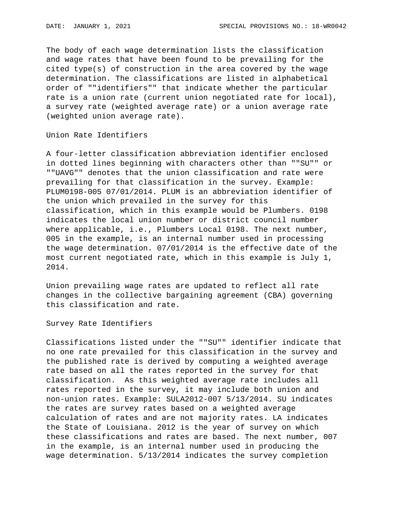The body of each wage determination lists the classification and wage rates that have been found to be prevailing for the cited type(s) of construction in the area covered by the wage determination. The classifications are listed in alphabetical order of ""identifiers"" that indicate whether the particular rate is a union rate (current union negotiated rate for local), a survey rate (weighted average rate) or a union average rate (weighted union average rate).

Union Rate Identifiers

A four-letter classification abbreviation identifier enclosed in dotted lines beginning with characters other than ""SU"" or ""UAVG"" denotes that the union classification and rate were prevailing for that classification in the survey. Example: PLUM0198-005 07/01/2014. PLUM is an abbreviation identifier of the union which prevailed in the survey for this classification, which in this example would be Plumbers. 0198 indicates the local union number or district council number where applicable, i.e., Plumbers Local 0198. The next number, 005 in the example, is an internal number used in processing the wage determination. 07/01/2014 is the effective date of the most current negotiated rate, which in this example is July 1, 2014.

Union prevailing wage rates are updated to reflect all rate changes in the collective bargaining agreement (CBA) governing this classification and rate.

Survey Rate Identifiers

Classifications listed under the ""SU"" identifier indicate that no one rate prevailed for this classification in the survey and the published rate is derived by computing a weighted average rate based on all the rates reported in the survey for that classification. As this weighted average rate includes all rates reported in the survey, it may include both union and non-union rates. Example: SULA2012-007 5/13/2014. SU indicates the rates are survey rates based on a weighted average calculation of rates and are not majority rates. LA indicates the State of Louisiana. 2012 is the year of survey on which these classifications and rates are based. The next number, 007 in the example, is an internal number used in producing the wage determination. 5/13/2014 indicates the survey completion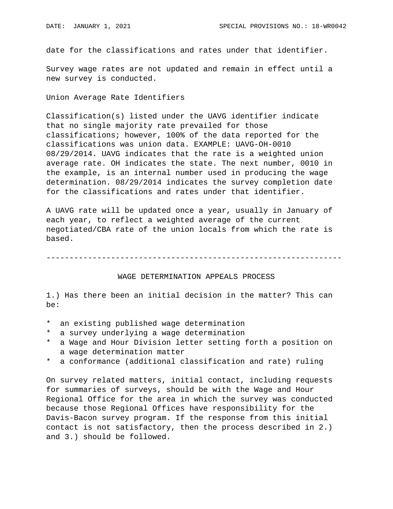date for the classifications and rates under that identifier.

Survey wage rates are not updated and remain in effect until a new survey is conducted.

Union Average Rate Identifiers

Classification(s) listed under the UAVG identifier indicate that no single majority rate prevailed for those classifications; however, 100% of the data reported for the classifications was union data. EXAMPLE: UAVG-OH-0010 08/29/2014. UAVG indicates that the rate is a weighted union average rate. OH indicates the state. The next number, 0010 in the example, is an internal number used in producing the wage determination. 08/29/2014 indicates the survey completion date for the classifications and rates under that identifier.

A UAVG rate will be updated once a year, usually in January of each year, to reflect a weighted average of the current negotiated/CBA rate of the union locals from which the rate is based.

----------------------------------------------------------------

## WAGE DETERMINATION APPEALS PROCESS

1.) Has there been an initial decision in the matter? This can be:

- \* an existing published wage determination
- \* a survey underlying a wage determination
- a Wage and Hour Division letter setting forth a position on a wage determination matter
- \* a conformance (additional classification and rate) ruling

On survey related matters, initial contact, including requests for summaries of surveys, should be with the Wage and Hour Regional Office for the area in which the survey was conducted because those Regional Offices have responsibility for the Davis-Bacon survey program. If the response from this initial contact is not satisfactory, then the process described in 2.) and 3.) should be followed.